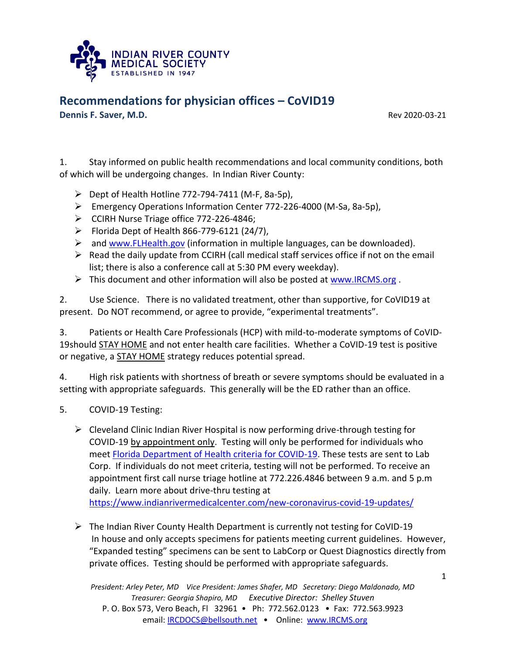

**Dennis F. Saver, M.D.** Rev 2020-03-21

1. Stay informed on public health recommendations and local community conditions, both of which will be undergoing changes. In Indian River County:

- $\triangleright$  Dept of Health Hotline 772-794-7411 (M-F, 8a-5p),
- Emergency Operations Information Center 772-226-4000 (M-Sa, 8a-5p),
- $\triangleright$  CCIRH Nurse Triage office 772-226-4846;
- $\triangleright$  Florida Dept of Health 866-779-6121 (24/7),
- $\triangleright$  and [www.FLHealth.gov](http://www.flhealth.gov/) (information in multiple languages, can be downloaded).
- $\triangleright$  Read the daily update from CCIRH (call medical staff services office if not on the email list; there is also a conference call at 5:30 PM every weekday).
- $\triangleright$  This document and other information will also be posted at [www.IRCMS.org](http://www.ircms.org/).

2. Use Science. There is no validated treatment, other than supportive, for CoVID19 at present. Do NOT recommend, or agree to provide, "experimental treatments".

3. Patients or Health Care Professionals (HCP) with mild-to-moderate symptoms of CoVID-19should STAY HOME and not enter health care facilities. Whether a CoVID-19 test is positive or negative, a **STAY HOME** strategy reduces potential spread.

4. High risk patients with shortness of breath or severe symptoms should be evaluated in a setting with appropriate safeguards. This generally will be the ED rather than an office.

- 5. COVID-19 Testing:
	- $\triangleright$  Cleveland Clinic Indian River Hospital is now performing drive-through testing for COVID-19 by appointment only. Testing will only be performed for individuals who meet [Florida Department of Health criteria](https://s33330.pcdn.co/wp-content/uploads/2020/03/Clinical_Guidance_Chart_3-15-20_Final-1.pdf) for COVID-19. These tests are sent to Lab Corp. If individuals do not meet criteria, testing will not be performed. To receive an appointment first call nurse triage hotline at 772.226.4846 between 9 a.m. and 5 p.m daily. Learn more about drive-thru testing at <https://www.indianrivermedicalcenter.com/new-coronavirus-covid-19-updates/>
	- The Indian River County Health Department is currently not testing for CoVID-19 In house and only accepts specimens for patients meeting current guidelines. However, "Expanded testing" specimens can be sent to LabCorp or Quest Diagnostics directly from private offices. Testing should be performed with appropriate safeguards.

*President: Arley Peter, MD Vice President: James Shafer, MD Secretary: Diego Maldonado, MD Treasurer: Georgia Shapiro, MD Executive Director: Shelley Stuven* P. O. Box 573, Vero Beach, Fl 32961 • Ph: 772.562.0123 • Fax: 772.563.9923 email: **IRCDOCS@bellsouth.net •** Online: [www.IRCMS.org](http://www.ircms.org/)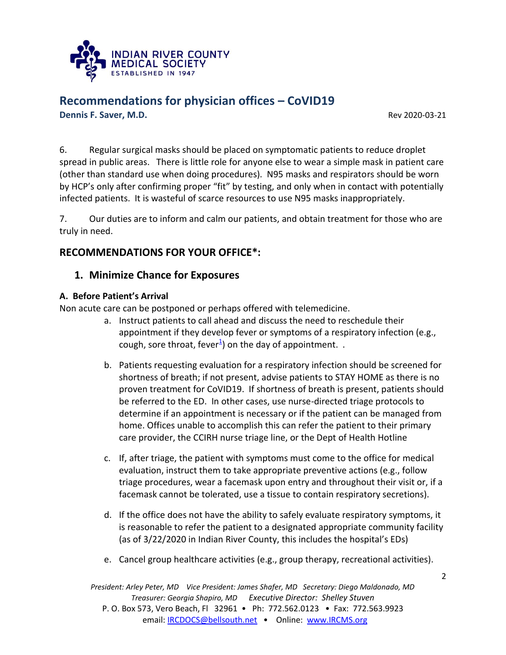

**Dennis F. Saver, M.D.** Rev 2020-03-21

6. Regular surgical masks should be placed on symptomatic patients to reduce droplet spread in public areas. There is little role for anyone else to wear a simple mask in patient care (other than standard use when doing procedures). N95 masks and respirators should be worn by HCP's only after confirming proper "fit" by testing, and only when in contact with potentially infected patients. It is wasteful of scarce resources to use N95 masks inappropriately.

7. Our duties are to inform and calm our patients, and obtain treatment for those who are truly in need.

### **RECOMMENDATIONS FOR YOUR OFFICE\*:**

### **1. Minimize Chance for Exposures**

### **A. Before Patient's Arrival**

Non acute care can be postponed or perhaps offered with telemedicine.

- a. Instruct patients to call ahead and discuss the need to reschedule their appointment if they develop fever or symptoms of a respiratory infection (e.g., cough, sore throat, fever $^{\underline{1}}$  $^{\underline{1}}$  $^{\underline{1}}$ ) on the day of appointment. .
- b. Patients requesting evaluation for a respiratory infection should be screened for shortness of breath; if not present, advise patients to STAY HOME as there is no proven treatment for CoVID19. If shortness of breath is present, patients should be referred to the ED. In other cases, use nurse-directed triage protocols to determine if an appointment is necessary or if the patient can be managed from home. Offices unable to accomplish this can refer the patient to their primary care provider, the CCIRH nurse triage line, or the Dept of Health Hotline
- c. If, after triage, the patient with symptoms must come to the office for medical evaluation, instruct them to take appropriate preventive actions (e.g., follow triage procedures, wear a facemask upon entry and throughout their visit or, if a facemask cannot be tolerated, use a tissue to contain respiratory secretions).
- d. If the office does not have the ability to safely evaluate respiratory symptoms, it is reasonable to refer the patient to a designated appropriate community facility (as of 3/22/2020 in Indian River County, this includes the hospital's EDs)
- e. Cancel group healthcare activities (e.g., group therapy, recreational activities).

*President: Arley Peter, MD Vice President: James Shafer, MD Secretary: Diego Maldonado, MD Treasurer: Georgia Shapiro, MD Executive Director: Shelley Stuven* P. O. Box 573, Vero Beach, Fl 32961 • Ph: 772.562.0123 • Fax: 772.563.9923 email: **IRCDOCS@bellsouth.net •** Online: [www.IRCMS.org](http://www.ircms.org/)

2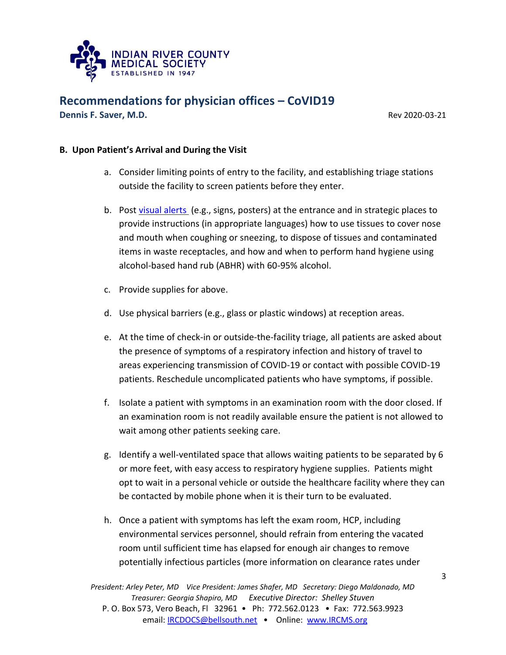

**Dennis F. Saver, M.D. Review A. Saver A. A. Saver A. A. Saver A. A. Saver A. Saver A. A. Saver A. Saver A. Saver A. Saver A. Saver A. Saver A. Saver A. Saver A. Saver A. Saver A. Saver A. Saver A. Saver A. Saver A. Save** 

### **B. Upon Patient's Arrival and During the Visit**

- a. Consider limiting points of entry to the facility, and establishing triage stations outside the facility to screen patients before they enter.
- b. Post [visual alerts](https://www.cdc.gov/flu/pdf/protect/cdc_cough.pdf) (e.g., signs, posters) at the entrance and in strategic places to provide instructions (in appropriate languages) how to use tissues to cover nose and mouth when coughing or sneezing, to dispose of tissues and contaminated items in waste receptacles, and how and when to perform hand hygiene using alcohol-based hand rub (ABHR) with 60-95% alcohol.
- c. Provide supplies for above.
- d. Use physical barriers (e.g., glass or plastic windows) at reception areas.
- e. At the time of check-in or outside-the-facility triage, all patients are asked about the presence of symptoms of a respiratory infection and history of travel to areas experiencing transmission of COVID-19 or contact with possible COVID-19 patients. Reschedule uncomplicated patients who have symptoms, if possible.
- f. Isolate a patient with symptoms in an examination room with the door closed. If an examination room is not readily available ensure the patient is not allowed to wait among other patients seeking care.
- g. Identify a well-ventilated space that allows waiting patients to be separated by 6 or more feet, with easy access to respiratory hygiene supplies. Patients might opt to wait in a personal vehicle or outside the healthcare facility where they can be contacted by mobile phone when it is their turn to be evaluated.
- h. Once a patient with symptoms has left the exam room, HCP, including environmental services personnel, should refrain from entering the vacated room until sufficient time has elapsed for enough air changes to remove potentially infectious particles (more information on [clearance rates under](https://www.cdc.gov/infectioncontrol/guidelines/environmental/appendix/air.html#tableb1)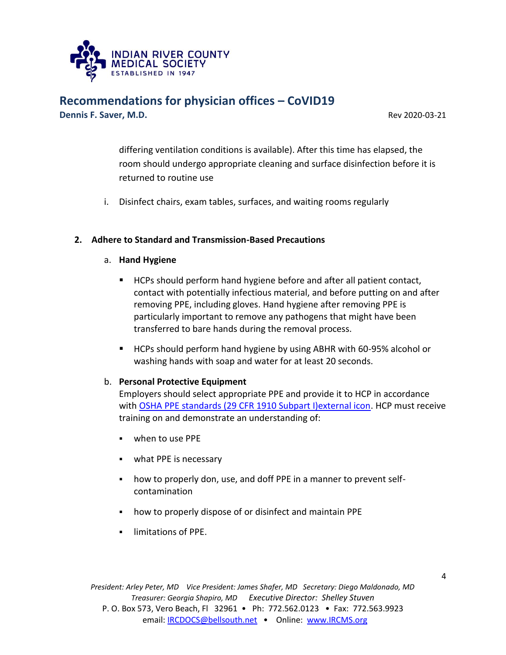

**Dennis F. Saver, M.D.** Rev 2020-03-21

[differing ventilation conditions](https://www.cdc.gov/infectioncontrol/guidelines/environmental/appendix/air.html#tableb1) is available). After this time has elapsed, the room should undergo appropriate cleaning and surface disinfection before it is returned to routine use

i. Disinfect chairs, exam tables, surfaces, and waiting rooms regularly

#### **2. Adhere to Standard and Transmission-Based Precautions**

#### a. **Hand Hygiene**

- HCPs should perform hand hygiene before and after all patient contact, contact with potentially infectious material, and before putting on and after removing PPE, including gloves. Hand hygiene after removing PPE is particularly important to remove any pathogens that might have been transferred to bare hands during the removal process.
- HCPs should perform hand hygiene by using ABHR with 60-95% alcohol or washing hands with soap and water for at least 20 seconds.

#### b. **Personal Protective Equipment**

Employers should select appropriate PPE and provide it to HCP in accordance with OSHA PPE standards (29 CFR 1910 Subpart I) external icon. HCP must receive training on and demonstrate an understanding of:

- when to use PPE
- **what PPE is necessary**
- how to properly don, use, and doff PPE in a manner to prevent selfcontamination
- how to properly dispose of or disinfect and maintain PPE
- **-** limitations of PPE.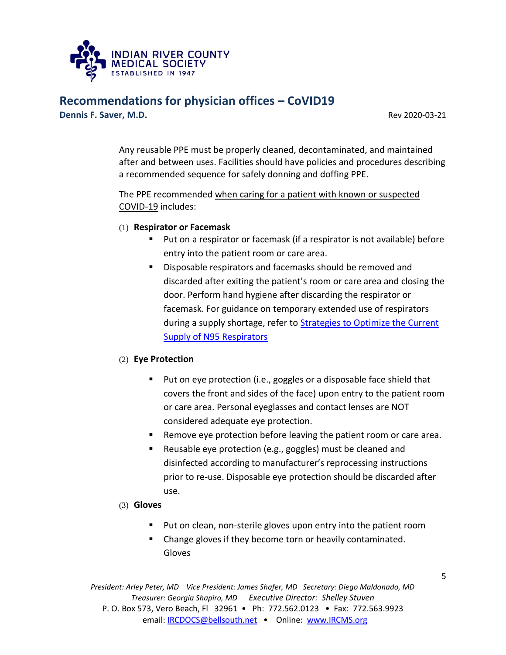

**Dennis F. Saver, M.D. Review A. Saver A. A. Saver A. A. Saver A. A. Saver A. Saver A. A. Saver A. Saver A. Saver A. Saver A. Saver A. Saver A. Saver A. Saver A. Saver A. Saver A. Saver A. Saver A. Saver A. Saver A. Save** 

Any reusable PPE must be properly cleaned, decontaminated, and maintained after and between uses. Facilities should have policies and procedures describing a recommended sequence for safely donning and doffing PPE.

The PPE recommended when caring for a patient with known or suspected COVID-19 includes:

- (1) **Respirator or Facemask**
	- Put on a respirator or facemask (if a respirator is not available) before entry into the patient room or care area.
	- **Disposable respirators and facemasks should be removed and** discarded after exiting the patient's room or care area and closing the door. Perform hand hygiene after discarding the respirator or facemask. For guidance on temporary extended use of respirators during a supply shortage, refer to **Strategies to Optimize the Current** [Supply of N95 Respirators](https://www.cdc.gov/coronavirus/2019-ncov/hcp/respirators-strategy/index.html)

#### (2) **Eye Protection**

- Put on eye protection (i.e., goggles or a disposable face shield that covers the front and sides of the face) upon entry to the patient room or care area. Personal eyeglasses and contact lenses are NOT considered adequate eye protection.
- Remove eye protection before leaving the patient room or care area.
- Reusable eye protection (e.g., goggles) must be cleaned and disinfected according to manufacturer's reprocessing instructions prior to re-use. Disposable eye protection should be discarded after use.
- (3) **Gloves**
	- **Put on clean, non-sterile gloves upon entry into the patient room**
	- Change gloves if they become torn or heavily contaminated. Gloves

*President: Arley Peter, MD Vice President: James Shafer, MD Secretary: Diego Maldonado, MD Treasurer: Georgia Shapiro, MD Executive Director: Shelley Stuven* P. O. Box 573, Vero Beach, Fl 32961 • Ph: 772.562.0123 • Fax: 772.563.9923 email: **IRCDOCS@bellsouth.net •** Online: [www.IRCMS.org](http://www.ircms.org/)